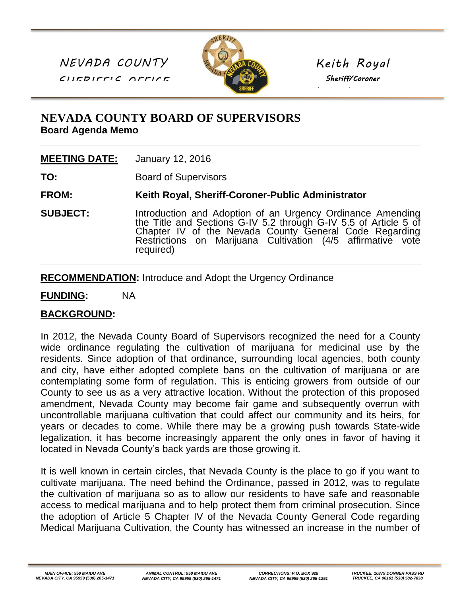*NEVADA COUNTY SHERIFF'S OFFICE*



*Keith Royal Sheriff/Coroner* 

*Public Administrator*

## **NEVADA COUNTY BOARD OF SUPERVISORS Board Agenda Memo**

| <b>MEETING DATE:</b><br>January 12, 2016 |
|------------------------------------------|
|------------------------------------------|

**TO:** Board of Supervisors

**FROM: Keith Royal, Sheriff-Coroner-Public Administrator**

**SUBJECT:** Introduction and Adoption of an Urgency Ordinance Amending the Title and Sections G-IV 5.2 through G-IV 5.5 of Article 5 of Chapter IV of the Nevada County General Code Regarding Restrictions on Marijuana Cultivation (4/5 affirmative vote required)

**RECOMMENDATION:** Introduce and Adopt the Urgency Ordinance

**FUNDING:** NA

## **BACKGROUND:**

In 2012, the Nevada County Board of Supervisors recognized the need for a County wide ordinance regulating the cultivation of marijuana for medicinal use by the residents. Since adoption of that ordinance, surrounding local agencies, both county and city, have either adopted complete bans on the cultivation of marijuana or are contemplating some form of regulation. This is enticing growers from outside of our County to see us as a very attractive location. Without the protection of this proposed amendment, Nevada County may become fair game and subsequently overrun with uncontrollable marijuana cultivation that could affect our community and its heirs, for years or decades to come. While there may be a growing push towards State-wide legalization, it has become increasingly apparent the only ones in favor of having it located in Nevada County's back yards are those growing it.

It is well known in certain circles, that Nevada County is the place to go if you want to cultivate marijuana. The need behind the Ordinance, passed in 2012, was to regulate the cultivation of marijuana so as to allow our residents to have safe and reasonable access to medical marijuana and to help protect them from criminal prosecution. Since the adoption of Article 5 Chapter IV of the Nevada County General Code regarding Medical Marijuana Cultivation, the County has witnessed an increase in the number of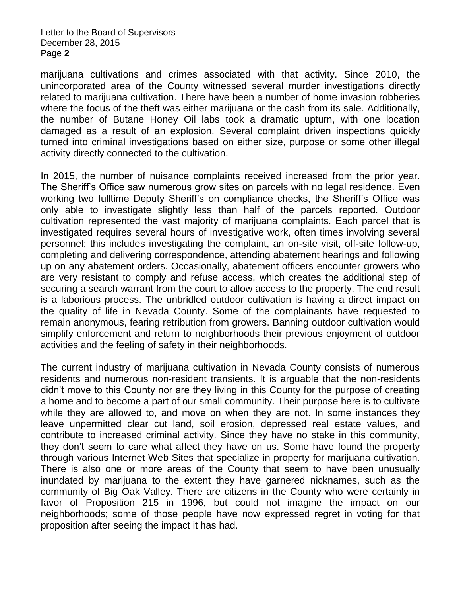Letter to the Board of Supervisors December 28, 2015 Page **2**

marijuana cultivations and crimes associated with that activity. Since 2010, the unincorporated area of the County witnessed several murder investigations directly related to marijuana cultivation. There have been a number of home invasion robberies where the focus of the theft was either marijuana or the cash from its sale. Additionally, the number of Butane Honey Oil labs took a dramatic upturn, with one location damaged as a result of an explosion. Several complaint driven inspections quickly turned into criminal investigations based on either size, purpose or some other illegal activity directly connected to the cultivation.

In 2015, the number of nuisance complaints received increased from the prior year. The Sheriff's Office saw numerous grow sites on parcels with no legal residence. Even working two fulltime Deputy Sheriff's on compliance checks, the Sheriff's Office was only able to investigate slightly less than half of the parcels reported. Outdoor cultivation represented the vast majority of marijuana complaints. Each parcel that is investigated requires several hours of investigative work, often times involving several personnel; this includes investigating the complaint, an on-site visit, off-site follow-up, completing and delivering correspondence, attending abatement hearings and following up on any abatement orders. Occasionally, abatement officers encounter growers who are very resistant to comply and refuse access, which creates the additional step of securing a search warrant from the court to allow access to the property. The end result is a laborious process. The unbridled outdoor cultivation is having a direct impact on the quality of life in Nevada County. Some of the complainants have requested to remain anonymous, fearing retribution from growers. Banning outdoor cultivation would simplify enforcement and return to neighborhoods their previous enjoyment of outdoor activities and the feeling of safety in their neighborhoods.

The current industry of marijuana cultivation in Nevada County consists of numerous residents and numerous non-resident transients. It is arguable that the non-residents didn't move to this County nor are they living in this County for the purpose of creating a home and to become a part of our small community. Their purpose here is to cultivate while they are allowed to, and move on when they are not. In some instances they leave unpermitted clear cut land, soil erosion, depressed real estate values, and contribute to increased criminal activity. Since they have no stake in this community, they don't seem to care what affect they have on us. Some have found the property through various Internet Web Sites that specialize in property for marijuana cultivation. There is also one or more areas of the County that seem to have been unusually inundated by marijuana to the extent they have garnered nicknames, such as the community of Big Oak Valley. There are citizens in the County who were certainly in favor of Proposition 215 in 1996, but could not imagine the impact on our neighborhoods; some of those people have now expressed regret in voting for that proposition after seeing the impact it has had.